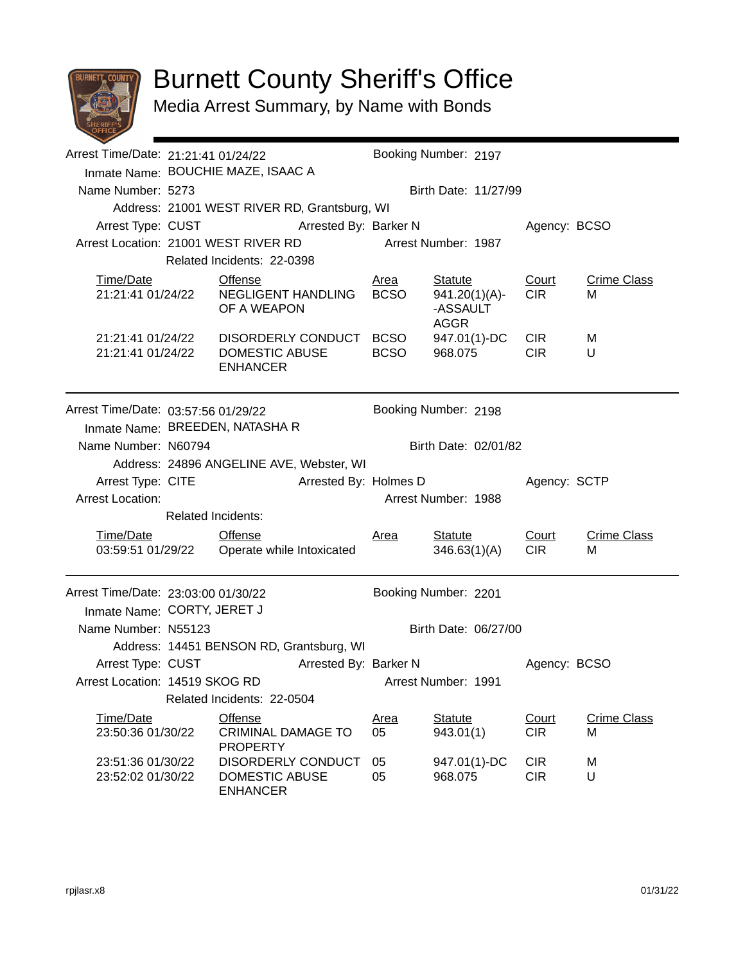

## Burnett County Sheriff's Office

Media Arrest Summary, by Name with Bonds

| Arrest Time/Date: 21:21:41 01/24/22 |                                                                 |                                                                | Booking Number: 2197 |                                             |                           |                         |  |
|-------------------------------------|-----------------------------------------------------------------|----------------------------------------------------------------|----------------------|---------------------------------------------|---------------------------|-------------------------|--|
|                                     |                                                                 | Inmate Name: BOUCHIE MAZE, ISAAC A                             |                      |                                             |                           |                         |  |
| Name Number: 5273                   |                                                                 |                                                                |                      | Birth Date: 11/27/99                        |                           |                         |  |
|                                     |                                                                 | Address: 21001 WEST RIVER RD, Grantsburg, WI                   |                      |                                             |                           |                         |  |
|                                     | Arrest Type: CUST Arrested By: Barker N                         |                                                                |                      |                                             |                           | Agency: BCSO            |  |
|                                     | Arrest Location: 21001 WEST RIVER RD                            |                                                                |                      | Arrest Number: 1987                         |                           |                         |  |
|                                     | Related Incidents: 22-0398                                      |                                                                |                      |                                             |                           |                         |  |
| Time/Date                           |                                                                 | <b>Offense</b>                                                 | Area                 | <b>Statute</b>                              | Court                     | <b>Crime Class</b>      |  |
| 21:21:41 01/24/22                   |                                                                 | NEGLIGENT HANDLING<br>OF A WEAPON                              | <b>BCSO</b>          | $941.20(1)(A)$ -<br>-ASSAULT<br><b>AGGR</b> | <b>CIR</b>                | м                       |  |
| 21:21:41 01/24/22                   |                                                                 | DISORDERLY CONDUCT BCSO                                        |                      | 947.01(1)-DC                                | <b>CIR</b>                | М                       |  |
| 21:21:41 01/24/22                   |                                                                 | DOMESTIC ABUSE                                                 | <b>BCSO</b>          | 968.075                                     | <b>CIR</b>                | U                       |  |
|                                     |                                                                 | <b>ENHANCER</b>                                                |                      |                                             |                           |                         |  |
|                                     |                                                                 |                                                                |                      |                                             |                           |                         |  |
| Arrest Time/Date: 03:57:56 01/29/22 |                                                                 | Booking Number: 2198                                           |                      |                                             |                           |                         |  |
|                                     | Inmate Name: BREEDEN, NATASHA R                                 |                                                                |                      |                                             |                           |                         |  |
| Name Number: N60794                 |                                                                 |                                                                |                      | Birth Date: 02/01/82                        |                           |                         |  |
|                                     |                                                                 | Address: 24896 ANGELINE AVE, Webster, WI                       |                      |                                             |                           |                         |  |
|                                     |                                                                 | Arrested By: Holmes D                                          | Agency: SCTP         |                                             |                           |                         |  |
| <b>Arrest Location:</b>             | Arrest Type: CITE                                               |                                                                |                      | Arrest Number: 1988                         |                           |                         |  |
|                                     | <b>Related Incidents:</b>                                       |                                                                |                      |                                             |                           |                         |  |
| Time/Date                           |                                                                 |                                                                |                      |                                             |                           | <b>Crime Class</b>      |  |
|                                     |                                                                 | <b>Offense</b><br>03:59:51 01/29/22  Operate while Intoxicated | <u>Area</u>          | <b>Statute</b><br>346.63(1)(A)              | Court<br>CIR <sub>1</sub> | м                       |  |
|                                     |                                                                 |                                                                |                      |                                             |                           |                         |  |
| Arrest Time/Date: 23:03:00 01/30/22 |                                                                 |                                                                |                      | Booking Number: 2201                        |                           |                         |  |
|                                     |                                                                 |                                                                |                      |                                             |                           |                         |  |
|                                     | Inmate Name: CORTY, JERET J                                     |                                                                |                      | Birth Date: 06/27/00                        |                           |                         |  |
|                                     | Name Number: N55123<br>Address: 14451 BENSON RD, Grantsburg, WI |                                                                |                      |                                             |                           |                         |  |
|                                     |                                                                 |                                                                |                      |                                             |                           |                         |  |
| Arrest Type: CUST                   |                                                                 | Arrested By: Barker N                                          | Arrest Number: 1991  |                                             | Agency: BCSO              |                         |  |
|                                     | Arrest Location: 14519 SKOG RD<br>Related Incidents: 22-0504    |                                                                |                      |                                             |                           |                         |  |
|                                     |                                                                 |                                                                |                      |                                             |                           |                         |  |
| Time/Date<br>23:50:36 01/30/22      |                                                                 | <b>Offense</b><br><b>CRIMINAL DAMAGE TO</b>                    | <u>Area</u><br>05    | <b>Statute</b><br>943.01(1)                 | Court<br><b>CIR</b>       | <b>Crime Class</b><br>М |  |
|                                     |                                                                 | <b>PROPERTY</b>                                                |                      |                                             |                           |                         |  |
| 23:51:36 01/30/22                   |                                                                 | DISORDERLY CONDUCT                                             | 05                   | 947.01(1)-DC                                | <b>CIR</b>                | M                       |  |
| DOMESTIC ABUSE<br>23:52:02 01/30/22 |                                                                 | 05                                                             | 968.075              | <b>CIR</b>                                  | U                         |                         |  |
| <b>ENHANCER</b>                     |                                                                 |                                                                |                      |                                             |                           |                         |  |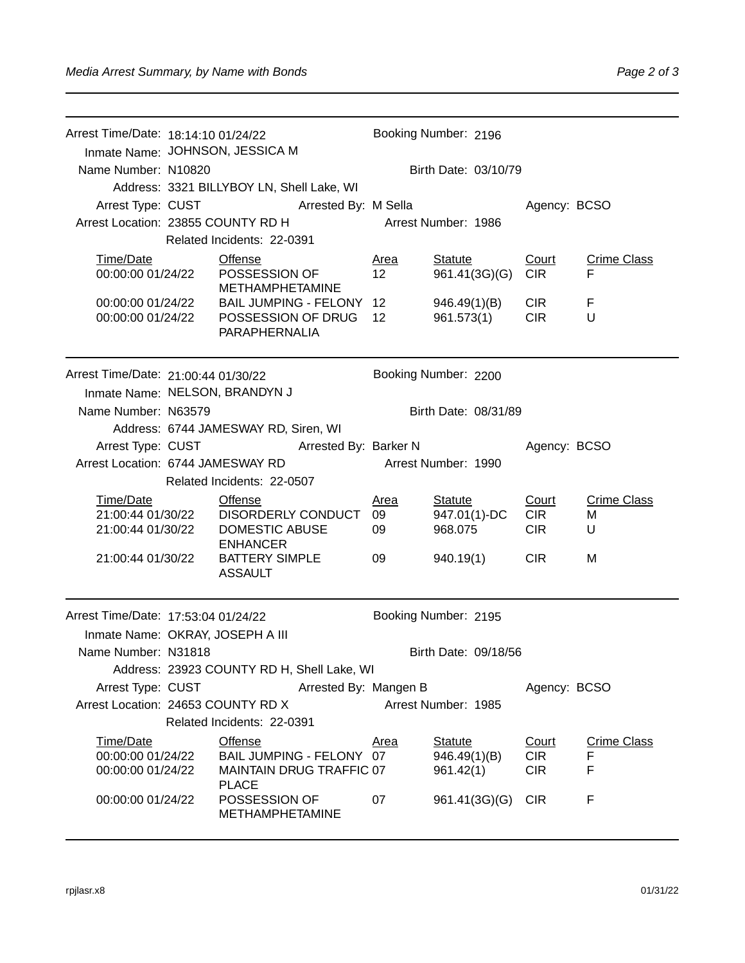| Arrest Time/Date: 18:14:10 01/24/22                                      |                                                                                               |                                                                        |                     |                                 |                          |                         |  |  |  |
|--------------------------------------------------------------------------|-----------------------------------------------------------------------------------------------|------------------------------------------------------------------------|---------------------|---------------------------------|--------------------------|-------------------------|--|--|--|
|                                                                          |                                                                                               |                                                                        |                     |                                 |                          | Booking Number: 2196    |  |  |  |
|                                                                          | Inmate Name: JOHNSON, JESSICA M                                                               |                                                                        |                     |                                 |                          |                         |  |  |  |
| Name Number: N10820                                                      |                                                                                               |                                                                        |                     | Birth Date: 03/10/79            |                          |                         |  |  |  |
|                                                                          |                                                                                               | Address: 3321 BILLYBOY LN, Shell Lake, WI                              |                     |                                 |                          |                         |  |  |  |
| Arrest Type: CUST                                                        |                                                                                               | Arrested By: M Sella                                                   |                     | Agency: BCSO                    |                          |                         |  |  |  |
| Arrest Location: 23855 COUNTY RD H                                       |                                                                                               |                                                                        | Arrest Number: 1986 |                                 |                          |                         |  |  |  |
|                                                                          |                                                                                               | Related Incidents: 22-0391                                             |                     |                                 |                          |                         |  |  |  |
| Time/Date<br>00:00:00 01/24/22<br>00:00:00 01/24/22<br>00:00:00 01/24/22 |                                                                                               | <b>Offense</b><br>POSSESSION OF<br><b>METHAMPHETAMINE</b>              | <u>Area</u><br>12   | <b>Statute</b><br>961.41(3G)(G) | Court<br><b>CIR</b>      | <b>Crime Class</b><br>F |  |  |  |
|                                                                          |                                                                                               | BAIL JUMPING - FELONY 12<br>POSSESSION OF DRUG<br><b>PARAPHERNALIA</b> | 12                  | 946.49(1)(B)<br>961.573(1)      | <b>CIR</b><br><b>CIR</b> | F<br>U                  |  |  |  |
|                                                                          | Booking Number: 2200<br>Arrest Time/Date: 21:00:44 01/30/22<br>Inmate Name: NELSON, BRANDYN J |                                                                        |                     |                                 |                          |                         |  |  |  |
|                                                                          |                                                                                               |                                                                        |                     |                                 |                          |                         |  |  |  |
| Name Number: N63579                                                      | Birth Date: 08/31/89                                                                          |                                                                        |                     |                                 |                          |                         |  |  |  |
|                                                                          |                                                                                               | Address: 6744 JAMESWAY RD, Siren, WI                                   |                     |                                 |                          |                         |  |  |  |
|                                                                          |                                                                                               | Arrest Type: CUST Arrested By: Barker N                                |                     |                                 |                          | Agency: BCSO            |  |  |  |
| Arrest Location: 6744 JAMESWAY RD                                        |                                                                                               |                                                                        | Arrest Number: 1990 |                                 |                          |                         |  |  |  |
|                                                                          |                                                                                               | Related Incidents: 22-0507                                             |                     |                                 |                          |                         |  |  |  |
| Time/Date                                                                |                                                                                               | <b>Offense</b>                                                         | <u>Area</u>         | <b>Statute</b>                  | Court                    | <b>Crime Class</b>      |  |  |  |
| 21:00:44 01/30/22<br>21:00:44 01/30/22                                   |                                                                                               | DISORDERLY CONDUCT<br>DOMESTIC ABUSE                                   | 09                  | 947.01(1)-DC<br>968.075         | <b>CIR</b><br><b>CIR</b> | M                       |  |  |  |
|                                                                          |                                                                                               | <b>ENHANCER</b>                                                        | 09                  |                                 |                          | U                       |  |  |  |
| 21:00:44 01/30/22                                                        |                                                                                               | <b>BATTERY SIMPLE</b><br><b>ASSAULT</b>                                | 09                  | 940.19(1)                       | <b>CIR</b>               | M                       |  |  |  |
| Arrest Time/Date: 17:53:04 01/24/22                                      |                                                                                               |                                                                        |                     | Booking Number: 2195            |                          |                         |  |  |  |
| Inmate Name: OKRAY, JOSEPH A III                                         |                                                                                               |                                                                        |                     |                                 |                          |                         |  |  |  |
| Name Number: N31818                                                      |                                                                                               |                                                                        |                     | Birth Date: 09/18/56            |                          |                         |  |  |  |
|                                                                          |                                                                                               | Address: 23923 COUNTY RD H, Shell Lake, WI                             |                     |                                 |                          |                         |  |  |  |
|                                                                          | Arrest Type: CUST<br>Arrested By: Mangen B                                                    |                                                                        |                     |                                 | Agency: BCSO             |                         |  |  |  |
| Arrest Location: 24653 COUNTY RD X                                       |                                                                                               |                                                                        | Arrest Number: 1985 |                                 |                          |                         |  |  |  |
| Related Incidents: 22-0391                                               |                                                                                               |                                                                        |                     |                                 |                          |                         |  |  |  |
| Time/Date                                                                |                                                                                               | <b>Offense</b>                                                         | Area                | Statute                         | Court                    | <b>Crime Class</b>      |  |  |  |
| 00:00:00 01/24/22                                                        |                                                                                               | BAIL JUMPING - FELONY 07                                               |                     | 946.49(1)(B)                    | <b>CIR</b>               | F                       |  |  |  |
| 00:00:00 01/24/22                                                        |                                                                                               | MAINTAIN DRUG TRAFFIC 07<br><b>PLACE</b>                               |                     | 961.42(1)                       | <b>CIR</b>               | F                       |  |  |  |
| 00:00:00 01/24/22                                                        |                                                                                               | POSSESSION OF<br><b>METHAMPHETAMINE</b>                                | 07                  | 961.41(3G)(G)                   | CIR <sub></sub>          | F                       |  |  |  |